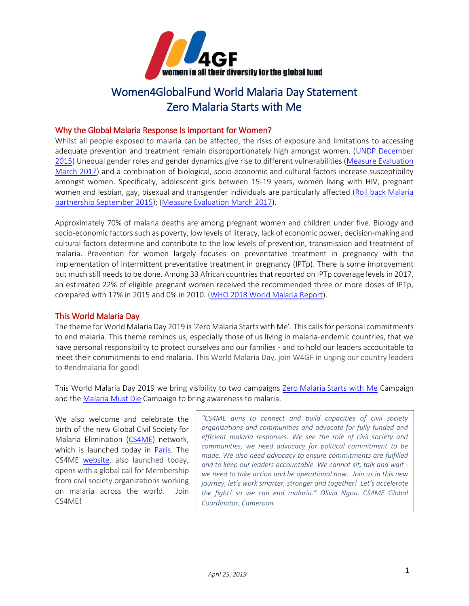

# Women4GlobalFund World Malaria Day Statement Zero Malaria Starts with Me

### Why the Global Malaria Response Is Important for Women?

Whilst all people exposed to malaria can be affected, the risks of exposure and limitations to accessing adequate prevention and treatment remain disproportionately high amongst women. (UNDP December [2015\)](https://www.undp.org/content/dam/undp/library/HIV-AIDS/Gender%20HIV%20and%20Health/Discussion%20Paper%20Gender_Malaria.pdf) Unequal gender roles and gender dynamics give rise to different vulnerabilities [\(Measure Evaluation](https://www.measureevaluation.org/resources/publications/fs-17-205d)  [March 2017\)](https://www.measureevaluation.org/resources/publications/fs-17-205d) and a combination of biological, socio-economic and cultural factors increase susceptibility amongst women. Specifically, adolescent girls between 15-19 years, women living with HIV, pregnant women and lesbian, gay, bisexual and transgender individuals are particularly affected (Roll back Malaria [partnership September 2015\)](https://endmalaria.org/sites/default/files/RBM_Gender_Fact_Sheet_170915.pdf); [\(Measure Evaluation March 2017\)](https://www.measureevaluation.org/resources/publications/fs-17-205d).

Approximately 70% of malaria deaths are among pregnant women and children under five. Biology and socio-economic factors such as poverty, low levels of literacy, lack of economic power, decision-making and cultural factors determine and contribute to the low levels of prevention, transmission and treatment of malaria. Prevention for women largely focuses on preventative treatment in pregnancy with the implementation of intermittent preventative treatment in pregnancy (IPTp). There is some improvement but much still needs to be done. Among 33 African countries that reported on IPTp coverage levels in 2017, an estimated 22% of eligible pregnant women received the recommended three or more doses of IPTp, compared with 17% in 2015 and 0% in 2010. [\(WHO 2018 World Malaria Report\)](https://apps.who.int/iris/bitstream/handle/10665/275867/9789241565653-eng.pdf?ua=1).

## This World Malaria Day

The theme for World Malaria Day 2019 is'Zero Malaria Starts with Me'. This calls for personal commitments to end malaria. This theme reminds us, especially those of us living in malaria-endemic countries, that we have personal responsibility to protect ourselves and our families - and to hold our leaders accountable to meet their commitments to end malaria. This World Malaria Day, join W4GF in urging our country leaders to #endmalaria for good!

This World Malaria Day 2019 we bring visibility to two campaigns Zero Malaria [Starts with Me](https://spark.adobe.com/page/XfLtkYzy7f7bq/) Campaign and the Malaria [Must Die](https://www.malariamustdie.com/) Campaign to bring awareness to malaria.

We also welcome and celebrate the birth of the new Global Civil Society for Malaria Elimination [\(CS4ME\)](https://web.facebook.com/CS4ME) network, which is launched today in [Paris.](https://endmalaria.org/news/paris-serve-host-city-world-malaria-day-2019) The CS4ME [website,](https://cs4me.org/) also launched today, opens with a global call for Membership from civil society organizations working on malaria across the world. Join CS4ME!

*"CS4ME aims to connect and build capacities of civil society organizations and communities and advocate for fully funded and efficient malaria responses. We see the role of civil society and communities, we need advocacy for political commitment to be made. We also need advocacy to ensure commitments are fulfilled and to keep our leaders accountable. We cannot sit, talk and wait we need to take action and be operational now. Join us in this new journey, let's work smarter, stronger and together! Let's accelerate the fight! so we can end malaria." Olivia Ngou, CS4ME Global Coordinator, Cameroon.*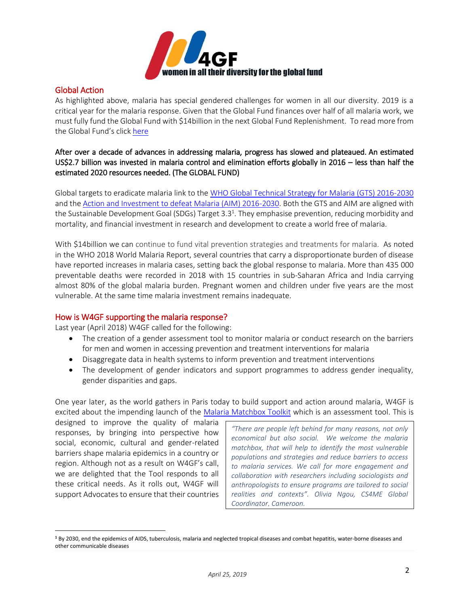

#### Global Action

As highlighted above, malaria has special gendered challenges for women in all our diversity. 2019 is a critical year for the malaria response. Given that the Global Fund finances over half of all malaria work, we must fully fund the Global Fund with \$14billion in the next Global Fund Replenishment. To read more from the Global Fund's click [here](https://www.theglobalfund.org/media/7491/publication_malaria_focuson_en.pdf)

## After over a decade of advances in addressing malaria, progress has slowed and plateaued. An estimated US\$2.7 billion was invested in malaria control and elimination efforts globally in 2016 – less than half the estimated 2020 resources needed. (The GLOBAL FUND)

Global targets to eradicate malaria link to th[e WHO Global Technical Strategy for Malaria \(GTS\) 2016-2030](http://www.who.int/malaria/areas/global_technical_strategy/en/) and the [Action and Investment to defeat Malaria \(AIM\) 2016-2030.](https://www.rollbackmalaria.org/files/files/aim/RBM_AIM_Report_A4_EN-Sept2015.pdf) Both the GTS and AIM are aligned with the Sustainable Development Goal (SDGs) Target 3.3<sup>1</sup>. They emphasise prevention, reducing morbidity and mortality, and financial investment in research and development to create a world free of malaria.

With \$14billion we can continue to fund vital prevention strategies and treatments for malaria. As noted in the WHO 2018 World Malaria Report, several countries that carry a disproportionate burden of disease have reported increases in malaria cases, setting back the global response to malaria. More than 435 000 preventable deaths were recorded in 2018 with 15 countries in sub-Saharan Africa and India carrying almost 80% of the global malaria burden. Pregnant women and children under five years are the most vulnerable. At the same time malaria investment remains inadequate.

#### How is W4GF supporting the malaria response?

Last year (April 2018) W4GF called for the following:

- The creation of a gender assessment tool to monitor malaria or conduct research on the barriers for men and women in accessing prevention and treatment interventions for malaria
- Disaggregate data in health systems to inform prevention and treatment interventions
- The development of gender indicators and support programmes to address gender inequality, gender disparities and gaps.

One year later, as the world gathers in Paris today to build support and action around malaria, W4GF is excited about the impending launch of the [Malaria Matchbox Toolkit](https://endmalaria.org/sites/default/files/Malaria%20Matchbox_v4.pdf) which is an assessment tool. This is

designed to improve the quality of malaria responses, by bringing into perspective how social, economic, cultural and gender-related barriers shape malaria epidemics in a country or region. Although not as a result on W4GF's call, we are delighted that the Tool responds to all these critical needs. As it rolls out, W4GF will support Advocates to ensure that their countries

l

*"There are people left behind for many reasons, not only economical but also social. We welcome the malaria matchbox, that will help to identify the most vulnerable populations and strategies and reduce barriers to access to malaria services. We call for more engagement and collaboration with researchers including sociologists and anthropologists to ensure programs are tailored to social realities and contexts". Olivia Ngou, CS4ME Global Coordinator, Cameroon.* 

**<sup>1</sup>** By 2030, end the epidemics of AIDS, tuberculosis, malaria and neglected tropical diseases and combat hepatitis, water-borne diseases and other communicable diseases